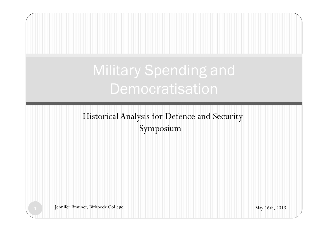# Historical Analysis for Defence and Security Symposium 1 Jennifer Brauner, Birkbeck College May 16th, 2013 Military Spending and Democratisation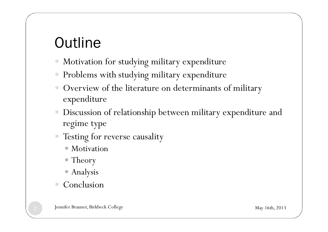## **Outline**

- Motivation for studying military expenditure
- Problems with studying military expenditure
- � Overview of the literature on determinants of military expenditure
- Discussion of relationship between military expenditure and regime type
- Testing for reverse causality
	- Motivation
	- Theory
	- � Analysis
- Conclusion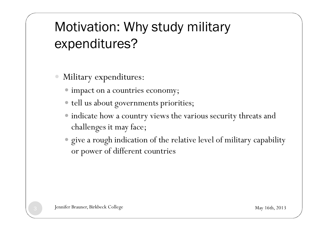#### Motivation: Why study military expenditures?

- Military expenditures:
	- $\bullet$  impact on a countries economy;
	- � tell us about governments priorities;
	- � indicate how a country views the various security threats and challenges it may face;
	- � give a rough indication of the relative level of military capability or power of different countries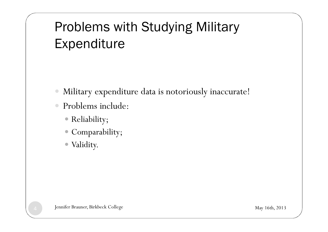#### Problems with Studying Military Expenditure

- Military expenditure data is notoriously inaccurate!
- � Problems include:
	- � Reliability;
	- � Comparability;
	- � Validity.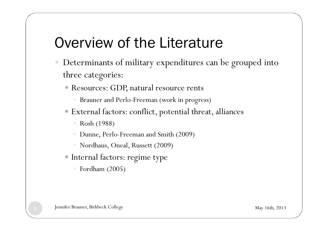### Overview of the Literature

- � Determinants of military expenditures can be grouped into three categories:
	- � Resources: GDP, natural resource rents
		- � Brauner and Perlo-Freeman (work in progress)
	- � External factors: conflict, potential threat, alliances
		- � Rosh (1988)
		- � Dunne, Perlo-Freeman and Smith (2009)
		- � Nordhaus, Oneal, Russett (2009)
	- � Internal factors: regime type
		- Fordham (2005)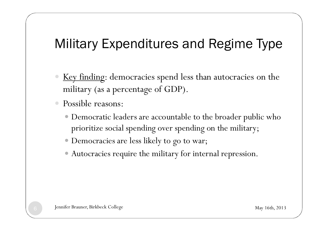#### Military Expenditures and Regime Type

- Key finding: democracies spend less than autocracies on the military (as a percentage of GDP).
- Possible reasons:
	- � Democratic leaders are accountable to the broader public who prioritize social spending over spending on the military;
	- � Democracies are less likely to go to war;
	- � Autocracies require the military for internal repression.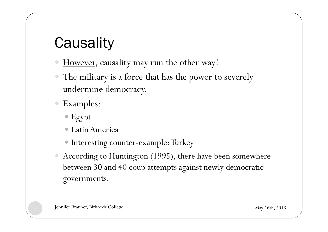### **Causality**

- However, causality may run the other way!
- The military is a force that has the power to severely undermine democracy.
- Examples:
	- � Egypt
	- � Latin America
	- � Interesting counter-example: Turkey
- According to Huntington (1995), there have been somewhere between 30 and 40 coup attempts against newly democratic governments.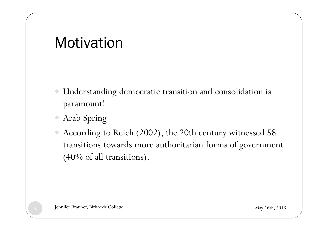#### Motivation

- � Understanding democratic transition and consolidation is paramount!
- � Arab Spring
- � According to Reich (2002), the 20th century witnessed 58 transitions towards more authoritarian forms of government (40% of all transitions).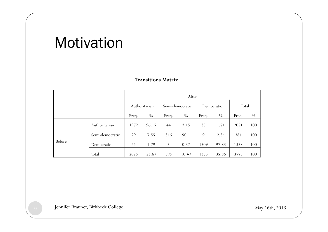#### **Motivation**

|        |                 |               |       |       | After           |            |               |       |               |
|--------|-----------------|---------------|-------|-------|-----------------|------------|---------------|-------|---------------|
|        |                 | Authoritarian |       |       | Semi-democratic | Democratic |               | Total |               |
|        |                 | Freq.         | $\%$  | Freq. | $\frac{0}{0}$   | Freq.      | $\frac{0}{0}$ | Freq. | $\frac{0}{0}$ |
|        | Authoritarian   | 1972          | 96.15 | 44    | 2.15            | 35         | 1.71          | 2051  | 100           |
|        | Semi-democratic | 29            | 7.55  | 346   | 90.1            | 9          | 2.34          | 384   | 100           |
| Before | Democratic      | 24            | 1.79  | 5     | 0.37            | 1309       | 97.83         | 1338  | 100           |
|        | total           | 2025          | 53.67 | 395   | 10.47           | 1353       | 35.86         | 3773  | 100           |

#### **Transitions Matrix**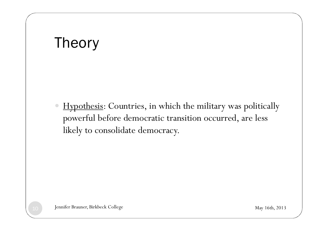#### Theory

Hypothesis: Countries, in which the military was politically powerful before democratic transition occurred, are less likely to consolidate democracy.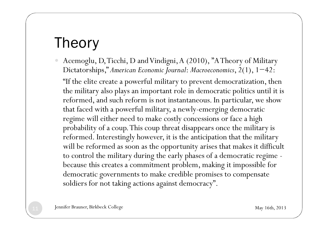#### Theory

- Acemoglu, D, Ticchi, D and Vindigni, A (2010), "A Theory of Military Dictatorships," *American Economic Journal*: *Macroeconomics*, 2(1), 1−42:
	- "If the elite create a powerful military to prevent democratization, then the military also plays an important role in democratic politics until it is reformed, and such reform is not instantaneous. In particular, we show that faced with a powerful military, a newly-emerging democratic regime will either need to make costly concessions or face a high probability of a coup. This coup threat disappears once the military is reformed. Interestingly however, it is the anticipation that the military will be reformed as soon as the opportunity arises that makes it difficult to control the military during the early phases of a democratic regime because this creates a commitment problem, making it impossible for democratic governments to make credible promises to compensate soldiers for not taking actions against democracy".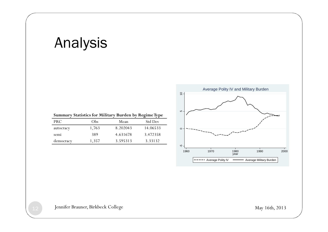#### Analysis

|            |       | <b>Summary Statistics for Military Burden by Regime Type</b> |          |
|------------|-------|--------------------------------------------------------------|----------|
| <b>PRC</b> | Obs   | Mean                                                         | Std Dev  |
| autocracy  | 1,763 | 8.202043                                                     | 14.06533 |
| semi       | 389   | 4.631678                                                     | 3.472358 |
| democracy  | 1,357 | 3.595313                                                     | 3.33132  |

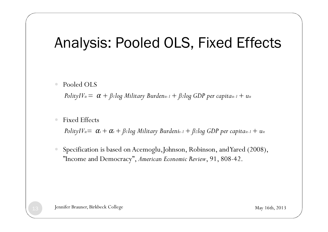#### Analysis: Pooled OLS, Fixed Effects

� Pooled OLS

*PolityIV<sub>it</sub>* =  $\alpha$  +  $\beta$ 1*log Military Burdenit-1* +  $\beta$ 2*log GDP per capitait-1* +  $u_{it}$ 

● Fixed Effects

*PolityIV<sub>it</sub>*=  $\alpha_i + \alpha_t + \beta_i$ *log Military Burdenit-1* +  $\beta_i$ *log GDP per capitait-1* +  $u_{it}$ 

Specification is based on Acemoglu, Johnson, Robinson, and Yared (2008), "Income and Democracy", *American Economic Review*, 91, 808-42.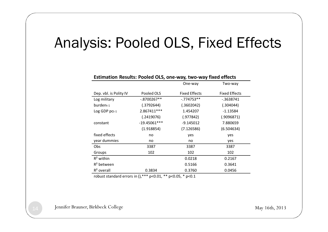#### Analysis: Pooled OLS, Fixed Effects

| Estimation Results: Pooled OLS, one-way, two-way fixed effects |                |                      |                      |
|----------------------------------------------------------------|----------------|----------------------|----------------------|
|                                                                |                | One-way              | Two-way              |
| Dep. vbl. is Polity IV                                         | Pooled OLS     | <b>Fixed Effects</b> | <b>Fixed Effects</b> |
| Log military                                                   | $-.8700267**$  | $-774753**$          | $-0.3638741$         |
| burdent-1                                                      | (.3792644)     | (.3602042)           | (.304044)            |
| Log GDP pct-1                                                  | 2.867411 ***   | 1.454207             | $-1.13584$           |
|                                                                | (.2419076)     | (.977842)            | (.9096871)           |
| constant                                                       | $-19.45061***$ | $-9.145012$          | 7.880659             |
|                                                                | (1.918854)     | (7.126586)           | (6.504634)           |
| fixed effects                                                  | no             | yes                  | yes                  |
| year dummies                                                   | no             | no                   | yes                  |
| Obs.                                                           | 3387           | 3387                 | 3387                 |
| Groups                                                         | 102            | 102                  | 102                  |
| $R^2$ within                                                   |                | 0.0218               | 0.2167               |
| $R^2$ between                                                  |                | 0.5166               | 0.3641               |
| $R2$ overall                                                   | 0.3834         | 0.3760               | 0.0456               |

robust standard errors in (),\*\*\* p<0.01, \*\* p<0.05, \* p<0.1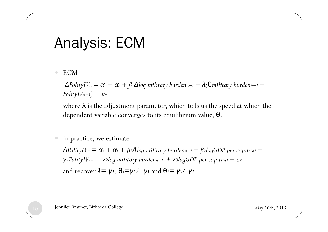#### Analysis: ECM

� ECM

 $Δ$ *PolityIV<sub>it</sub>* =  $α$ <sup>*i*</sup> +  $α$ <sup>*t*</sup> +  $β$ <sub>*l*</sub> $Δ$ *log military burdenit−1* +  $λ$ *(* $θ$ *military burdenit−1* − *PolityIVit−1) + uit*

where  $\lambda$  is the adjustment parameter, which tells us the speed at which the dependent variable converges to its equilibrium value, θ.

#### In practice, we estimate

 $Δ$ *PolityIV<sub>it</sub>* =  $α$ <sup>*i*</sup> +  $α$ <sup>*t*</sup> +  $β$ <sub>*l*</sub> $Δ$ *log military burden<sub>it</sub>-1</sub> +*  $β$ *<sub>2</sub><i>logGDP* per capita<sub>it1</sub> + *γ1PolityIV<sub>it−1</sub></sub> <i>– γ2log military burdenit−1 + γ3logGDP per capitait1* + uit and recover  $\lambda = -\gamma_1$ ;  $\theta_1 = \gamma_2$ /- $\gamma_1$  and  $\theta_2 = \gamma_3$ /- $\gamma_1$ .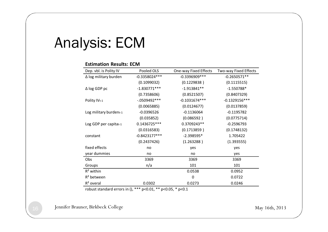#### Analysis: ECM

#### **Estimation Results: ECM**

| Dep. vbl. is Polity IV   | Pooled OLS      | One-way Fixed Effects | Two-way Fixed Effects |
|--------------------------|-----------------|-----------------------|-----------------------|
| ∆ log military burden    | $-0.3358024***$ | -0.3396909 ***        | $-0.2650571**$        |
|                          | (0.1099032)     | (0.1229838)           | (0.1115515)           |
| $\Delta$ log GDP pc      | $-1.830771***$  | $-1.913841**$         | $-1.550788*$          |
|                          | (0.7358606)     | (0.8521507)           | (0.8407329)           |
| Polity IV <sub>t-1</sub> | $-.0509492***$  | $-0.1031674***$       | $-0.1329156***$       |
|                          | (0.0065885)     | (0.0124677)           | (0.0137859)           |
| Log military burdent-1   | $-0.0396526$    | $-0.1136064$          | $-0.1195782$          |
|                          | (0.035852)      | (0.086592)            | (0.0775714)           |
| Log GDP per capitat-1    | 0.1436725 ***   | 0.3709243**           | $-0.2596793$          |
|                          | (0.0316583)     | (0.1713859)           | (0.1748132)           |
| constant                 | $-0.8423177***$ | $-2.398595*$          | 1.705422              |
|                          | (0.2437426)     | (1.263288)            | (1.393555)            |
| fixed effects            | no              | yes                   | yes                   |
| year dummies             | no              | no                    | yes                   |
| <b>Obs</b>               | 3369            | 3369                  | 3369                  |
| Groups                   | n/a             | 101                   | 101                   |
| $R^2$ within             |                 | 0.0538                | 0.0952                |
| $R2$ between             |                 | 0                     | 0.0722                |
| $R2$ overal              | 0.0302          | 0.0273                | 0.0246                |

robust standard errors in (), \*\*\* p<0.01, \*\* p<0.05, \* p<0.1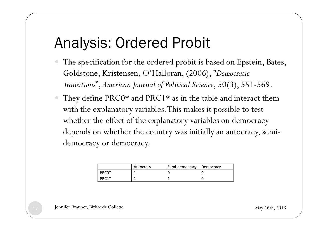#### Analysis: Ordered Probit

- The specification for the ordered probit is based on Epstein, Bates, Goldstone, Kristensen, O'Halloran, (2006), "*Democratic Transitions*", *American Journal of Political Science*, 50(3), 551-569.
- They define PRC0\* and PRC1\* as in the table and interact them with the explanatory variables. This makes it possible to test whether the effect of the explanatory variables on democracy depends on whether the country was initially an autocracy, semidemocracy or democracy.

|         | Autocracy | Semi-democracy Democracy |  |
|---------|-----------|--------------------------|--|
| PRCO*   |           |                          |  |
| $PRC1*$ |           |                          |  |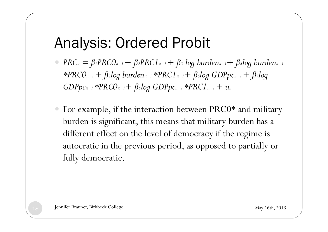#### Analysis: Ordered Probit

- $PRC_{it} = \beta_1 P R C O_{it-1} + \beta_2 P R C 1_{it-1} + \beta_3$  *log burden*<sub>it−1</sub> +  $\beta_4$ *log burden*<sub>it−1</sub> *\*PRC0it−1 + ß5log burdenit−1 \*PRC1it−1+ ß6log GDPpcit−1 + ß7log GDPpcit−1 \*PRC0it−1+ ß8log GDPpcit−1 \*PRC1it−1 + uit*
- � For example, if the interaction between PRC0\* and military burden is significant, this means that military burden has a different effect on the level of democracy if the regime is autocratic in the previous period, as opposed to partially or fully democratic.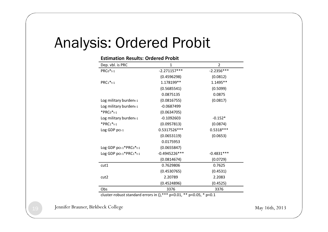#### Analysis: Ordered Probit

| <b>Estimation Results: Ordered Probit</b> |                 |                |  |  |
|-------------------------------------------|-----------------|----------------|--|--|
| Dep. vbl. is PRC                          | 1               | $\overline{2}$ |  |  |
| $PRCo*_{t-1}$                             | $-2.271157***$  | $-2.2356***$   |  |  |
|                                           | (0.4596298)     | (0.0812)       |  |  |
| $PRC1*_{t-1}$                             | 1.178199**      | 1.1495**       |  |  |
|                                           | (0.5685541)     | (0.5099)       |  |  |
|                                           | 0.0875135       | 0.0875         |  |  |
| Log military burdent-1                    | (0.0816755)     | (0.0817)       |  |  |
| Log military burdent-1                    | $-0.0687499$    |                |  |  |
| $*$ PRCo $*$ <sub>t-1</sub>               | (0.0634705)     |                |  |  |
| Log military burdent-1                    | $-0.1092603$    | $-0.152*$      |  |  |
| $*PRC1*_{t-1}$                            | (0.0957813)     | (0.0874)       |  |  |
| Log GDP pct-1                             | 0.5317526***    | $0.5318***$    |  |  |
|                                           | (0.0653119)     | (0.0653)       |  |  |
|                                           | 0.0175953       |                |  |  |
| Log GDP pct-1*PRC0*t-1                    | (0.0655847)     |                |  |  |
| Log GDP pct-1*PRC1*t-1                    | $-0.4945226***$ | $-0.4831***$   |  |  |
|                                           | (0.0814674)     | (0.0729)       |  |  |
| cut1                                      | 0.7629806       | 0.7625         |  |  |
|                                           | (0.4530765)     | (0.4531)       |  |  |
| cut2                                      | 2.20789         | 2.2083         |  |  |
|                                           | (0.4524896)     | (0.4525)       |  |  |
| Obs                                       | 3376            | 3376           |  |  |

cluster-robust standard errors in  $\frac{1}{2}$ , \*\*\* p<0.01, \*\* p<0.05, \* p<0.1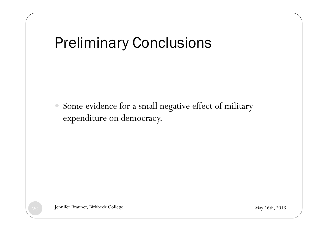## Preliminary Conclusions

� Some evidence for a small negative effect of military expenditure on democracy.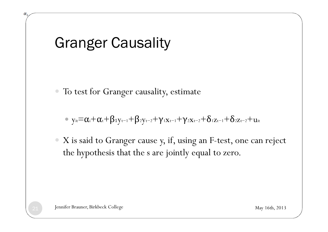### Granger Causality

� To test for Granger causality, estimate

 $\bullet$  y<sub>it</sub>= $\alpha_i+\alpha_i+\beta_1y_{t-1}+\beta_2y_{t-2}+y_1x_{t-1}+y_2x_{t-2}+\delta_1z_{t-1}+\delta_2z_{t-2}+u_{it}$ 

� X is said to Granger cause y, if, using an F-test, one can reject the hypothesis that the s are jointly equal to zero.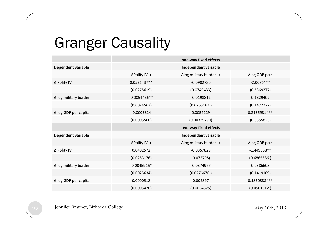### Granger Causality

|                           |                           | one-way fixed effects   |                        |  |
|---------------------------|---------------------------|-------------------------|------------------------|--|
| <b>Dependent variable</b> |                           | Independent variable    |                        |  |
|                           | ∆Polity IVt-1             | Δlog military burdent-1 | $\Delta$ log GDP pct-1 |  |
| ∆ Polity IV               | 0.0521437**               | $-0.0902786$            | $-2.0076***$           |  |
|                           | (0.0275619)               | (0.0749433)             | (0.6369277)            |  |
| ∆ log military burden     | $-0.0054456**$            | $-0.0198812$            | 0.1829407              |  |
|                           | (0.0024562)               | (0.0253163)             | (0.1472277)            |  |
| ∆ log GDP per capita      | $-0.0003324$              | 0.0054229               | 0.2135931 ***          |  |
|                           | (0.0005566)               | (0.00339270)            | (0.0555823)            |  |
|                           | two-way fixed effects     |                         |                        |  |
|                           |                           |                         |                        |  |
| Dependent variable        |                           | Independent variable    |                        |  |
|                           | ΔPolity IV <sub>t-1</sub> | Δlog military burdent-1 | $\Delta$ log GDP pct-1 |  |
| ∆ Polity IV               | 0.0402572                 | $-0.0357829$            | $-1.449538**$          |  |
|                           | (0.0283176)               | (0.075798)              | (0.6865386)            |  |
| ∆ log military burden     | $-0.0045916*$             | $-0.0374977$            | 0.0386608              |  |
|                           | (0.0025634)               | (0.0276676)             | (0.1419109)            |  |
| ∆ log GDP per capita      | 0.0000518                 | 0.002897                | 0.1850338 ***          |  |